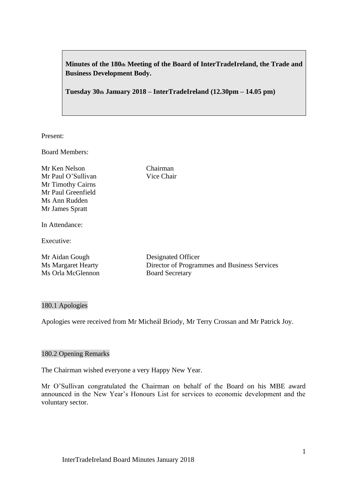**Minutes of the 180th Meeting of the Board of InterTradeIreland, the Trade and Business Development Body.**

**Tuesday 30th January 2018 – InterTradeIreland (12.30pm – 14.05 pm)**

Present:

Board Members:

Mr Ken Nelson Chairman Mr Paul O'Sullivan Vice Chair Mr Timothy Cairns Mr Paul Greenfield Ms Ann Rudden Mr James Spratt

In Attendance:

Executive:

Mr Aidan Gough Designated Officer Ms Orla McGlennon Board Secretary

Ms Margaret Hearty Director of Programmes and Business Services

## 180.1 Apologies

Apologies were received from Mr Micheál Briody, Mr Terry Crossan and Mr Patrick Joy.

## 180.2 Opening Remarks

The Chairman wished everyone a very Happy New Year.

Mr O'Sullivan congratulated the Chairman on behalf of the Board on his MBE award announced in the New Year's Honours List for services to economic development and the voluntary sector.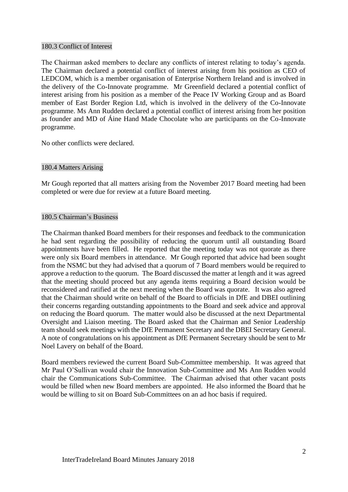### 180.3 Conflict of Interest

The Chairman asked members to declare any conflicts of interest relating to today's agenda. The Chairman declared a potential conflict of interest arising from his position as CEO of LEDCOM, which is a member organisation of Enterprise Northern Ireland and is involved in the delivery of the Co-Innovate programme. Mr Greenfield declared a potential conflict of interest arising from his position as a member of the Peace IV Working Group and as Board member of East Border Region Ltd, which is involved in the delivery of the Co-Innovate programme. Ms Ann Rudden declared a potential conflict of interest arising from her position as founder and MD of Áine Hand Made Chocolate who are participants on the Co-Innovate programme.

No other conflicts were declared.

# 180.4 Matters Arising

Mr Gough reported that all matters arising from the November 2017 Board meeting had been completed or were due for review at a future Board meeting.

# 180.5 Chairman's Business

The Chairman thanked Board members for their responses and feedback to the communication he had sent regarding the possibility of reducing the quorum until all outstanding Board appointments have been filled. He reported that the meeting today was not quorate as there were only six Board members in attendance. Mr Gough reported that advice had been sought from the NSMC but they had advised that a quorum of 7 Board members would be required to approve a reduction to the quorum. The Board discussed the matter at length and it was agreed that the meeting should proceed but any agenda items requiring a Board decision would be reconsidered and ratified at the next meeting when the Board was quorate. It was also agreed that the Chairman should write on behalf of the Board to officials in DfE and DBEI outlining their concerns regarding outstanding appointments to the Board and seek advice and approval on reducing the Board quorum. The matter would also be discussed at the next Departmental Oversight and Liaison meeting. The Board asked that the Chairman and Senior Leadership team should seek meetings with the DfE Permanent Secretary and the DBEI Secretary General. A note of congratulations on his appointment as DfE Permanent Secretary should be sent to Mr Noel Lavery on behalf of the Board.

Board members reviewed the current Board Sub-Committee membership. It was agreed that Mr Paul O'Sullivan would chair the Innovation Sub-Committee and Ms Ann Rudden would chair the Communications Sub-Committee. The Chairman advised that other vacant posts would be filled when new Board members are appointed. He also informed the Board that he would be willing to sit on Board Sub-Committees on an ad hoc basis if required.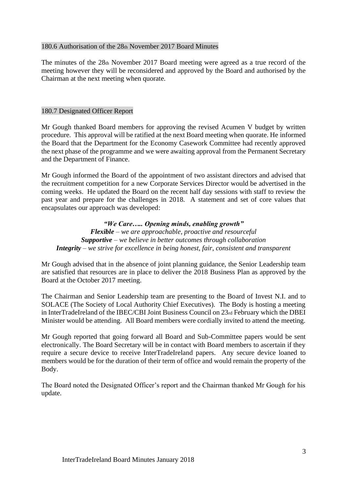# 180.6 Authorisation of the 28th November 2017 Board Minutes

The minutes of the 28th November 2017 Board meeting were agreed as a true record of the meeting however they will be reconsidered and approved by the Board and authorised by the Chairman at the next meeting when quorate.

# 180.7 Designated Officer Report

Mr Gough thanked Board members for approving the revised Acumen V budget by written procedure. This approval will be ratified at the next Board meeting when quorate. He informed the Board that the Department for the Economy Casework Committee had recently approved the next phase of the programme and we were awaiting approval from the Permanent Secretary and the Department of Finance.

Mr Gough informed the Board of the appointment of two assistant directors and advised that the recruitment competition for a new Corporate Services Director would be advertised in the coming weeks. He updated the Board on the recent half day sessions with staff to review the past year and prepare for the challenges in 2018. A statement and set of core values that encapsulates our approach was developed:

*"We Care….. Opening minds, enabling growth" Flexible – we are approachable, proactive and resourceful Supportive – we believe in better outcomes through collaboration Integrity – we strive for excellence in being honest, fair, consistent and transparent*

Mr Gough advised that in the absence of joint planning guidance, the Senior Leadership team are satisfied that resources are in place to deliver the 2018 Business Plan as approved by the Board at the October 2017 meeting.

The Chairman and Senior Leadership team are presenting to the Board of Invest N.I. and to SOLACE (The Society of Local Authority Chief Executives). The Body is hosting a meeting in InterTradeIreland of the IBEC/CBI Joint Business Council on 23rd February which the DBEI Minister would be attending. All Board members were cordially invited to attend the meeting.

Mr Gough reported that going forward all Board and Sub-Committee papers would be sent electronically. The Board Secretary will be in contact with Board members to ascertain if they require a secure device to receive InterTradeIreland papers. Any secure device loaned to members would be for the duration of their term of office and would remain the property of the Body.

The Board noted the Designated Officer's report and the Chairman thanked Mr Gough for his update.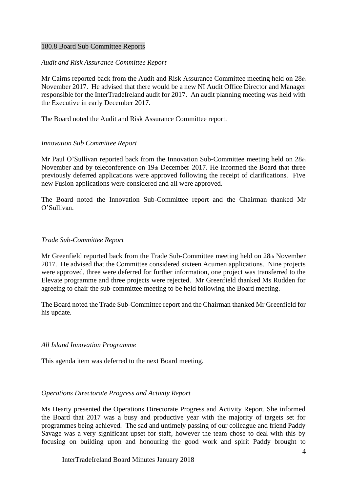### 180.8 Board Sub Committee Reports

## *Audit and Risk Assurance Committee Report*

Mr Cairns reported back from the Audit and Risk Assurance Committee meeting held on 28th November 2017. He advised that there would be a new NI Audit Office Director and Manager responsible for the InterTradeIreland audit for 2017. An audit planning meeting was held with the Executive in early December 2017.

The Board noted the Audit and Risk Assurance Committee report.

#### *Innovation Sub Committee Report*

Mr Paul O'Sullivan reported back from the Innovation Sub-Committee meeting held on 28th November and by teleconference on 19th December 2017. He informed the Board that three previously deferred applications were approved following the receipt of clarifications. Five new Fusion applications were considered and all were approved.

The Board noted the Innovation Sub-Committee report and the Chairman thanked Mr O'Sullivan.

#### *Trade Sub-Committee Report*

Mr Greenfield reported back from the Trade Sub-Committee meeting held on 28th November 2017. He advised that the Committee considered sixteen Acumen applications. Nine projects were approved, three were deferred for further information, one project was transferred to the Elevate programme and three projects were rejected. Mr Greenfield thanked Ms Rudden for agreeing to chair the sub-committee meeting to be held following the Board meeting.

The Board noted the Trade Sub-Committee report and the Chairman thanked Mr Greenfield for his update.

## *All Island Innovation Programme*

This agenda item was deferred to the next Board meeting.

#### *Operations Directorate Progress and Activity Report*

Ms Hearty presented the Operations Directorate Progress and Activity Report. She informed the Board that 2017 was a busy and productive year with the majority of targets set for programmes being achieved. The sad and untimely passing of our colleague and friend Paddy Savage was a very significant upset for staff, however the team chose to deal with this by focusing on building upon and honouring the good work and spirit Paddy brought to

InterTradeIreland Board Minutes January 2018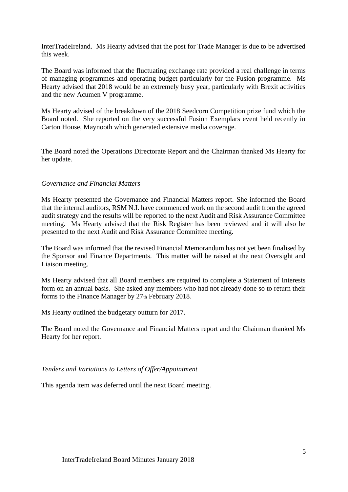InterTradeIreland. Ms Hearty advised that the post for Trade Manager is due to be advertised this week.

The Board was informed that the fluctuating exchange rate provided a real challenge in terms of managing programmes and operating budget particularly for the Fusion programme. Ms Hearty advised that 2018 would be an extremely busy year, particularly with Brexit activities and the new Acumen V programme.

Ms Hearty advised of the breakdown of the 2018 Seedcorn Competition prize fund which the Board noted. She reported on the very successful Fusion Exemplars event held recently in Carton House, Maynooth which generated extensive media coverage.

The Board noted the Operations Directorate Report and the Chairman thanked Ms Hearty for her update.

### *Governance and Financial Matters*

Ms Hearty presented the Governance and Financial Matters report. She informed the Board that the internal auditors, RSM N.I. have commenced work on the second audit from the agreed audit strategy and the results will be reported to the next Audit and Risk Assurance Committee meeting. Ms Hearty advised that the Risk Register has been reviewed and it will also be presented to the next Audit and Risk Assurance Committee meeting.

The Board was informed that the revised Financial Memorandum has not yet been finalised by the Sponsor and Finance Departments. This matter will be raised at the next Oversight and Liaison meeting.

Ms Hearty advised that all Board members are required to complete a Statement of Interests form on an annual basis. She asked any members who had not already done so to return their forms to the Finance Manager by 27th February 2018.

Ms Hearty outlined the budgetary outturn for 2017.

The Board noted the Governance and Financial Matters report and the Chairman thanked Ms Hearty for her report.

#### *Tenders and Variations to Letters of Offer/Appointment*

This agenda item was deferred until the next Board meeting.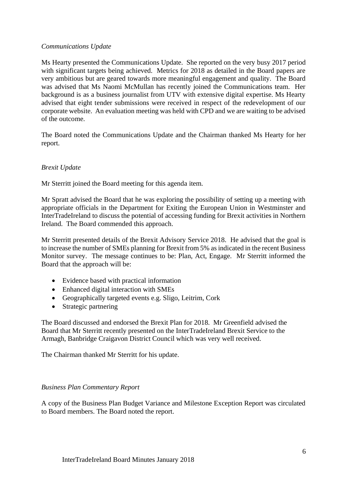# *Communications Update*

Ms Hearty presented the Communications Update. She reported on the very busy 2017 period with significant targets being achieved. Metrics for 2018 as detailed in the Board papers are very ambitious but are geared towards more meaningful engagement and quality. The Board was advised that Ms Naomi McMullan has recently joined the Communications team. Her background is as a business journalist from UTV with extensive digital expertise. Ms Hearty advised that eight tender submissions were received in respect of the redevelopment of our corporate website. An evaluation meeting was held with CPD and we are waiting to be advised of the outcome.

The Board noted the Communications Update and the Chairman thanked Ms Hearty for her report.

# *Brexit Update*

Mr Sterritt joined the Board meeting for this agenda item.

Mr Spratt advised the Board that he was exploring the possibility of setting up a meeting with appropriate officials in the Department for Exiting the European Union in Westminster and InterTradeIreland to discuss the potential of accessing funding for Brexit activities in Northern Ireland. The Board commended this approach.

Mr Sterritt presented details of the Brexit Advisory Service 2018. He advised that the goal is to increase the number of SMEs planning for Brexit from 5% as indicated in the recent Business Monitor survey. The message continues to be: Plan, Act, Engage. Mr Sterritt informed the Board that the approach will be:

- Evidence based with practical information
- Enhanced digital interaction with SMEs
- Geographically targeted events e.g. Sligo, Leitrim, Cork
- Strategic partnering

The Board discussed and endorsed the Brexit Plan for 2018. Mr Greenfield advised the Board that Mr Sterritt recently presented on the InterTradeIreland Brexit Service to the Armagh, Banbridge Craigavon District Council which was very well received.

The Chairman thanked Mr Sterritt for his update.

## *Business Plan Commentary Report*

A copy of the Business Plan Budget Variance and Milestone Exception Report was circulated to Board members. The Board noted the report.